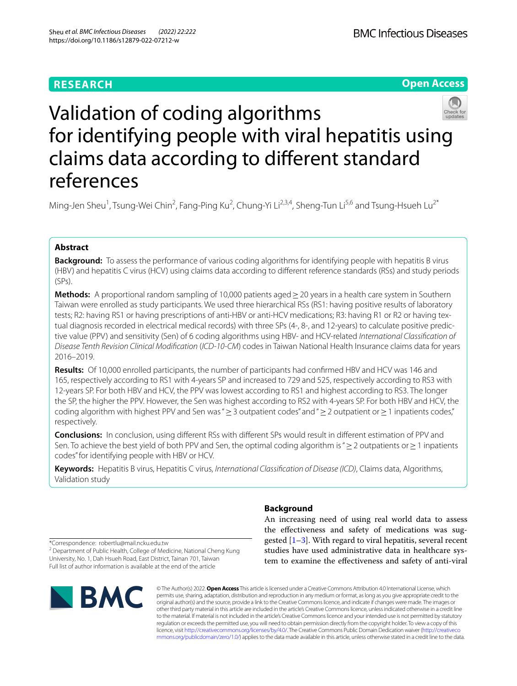# **RESEARCH**

**Open Access**

# Validation of coding algorithms for identifying people with viral hepatitis using claims data according to diferent standard references

Ming-Jen Sheu<sup>1</sup>, Tsung-Wei Chin<sup>2</sup>, Fang-Ping Ku<sup>2</sup>, Chung-Yi Li<sup>2,3,4</sup>, Sheng-Tun Li<sup>5,6</sup> and Tsung-Hsueh Lu<sup>2\*</sup>

# **Abstract**

**Background:** To assess the performance of various coding algorithms for identifying people with hepatitis B virus (HBV) and hepatitis C virus (HCV) using claims data according to diferent reference standards (RSs) and study periods (SPs).

**Methods:** A proportional random sampling of 10,000 patients aged > 20 years in a health care system in Southern Taiwan were enrolled as study participants. We used three hierarchical RSs (RS1: having positive results of laboratory tests; R2: having RS1 or having prescriptions of anti-HBV or anti-HCV medications; R3: having R1 or R2 or having textual diagnosis recorded in electrical medical records) with three SPs (4-, 8-, and 12-years) to calculate positive predictive value (PPV) and sensitivity (Sen) of 6 coding algorithms using HBV- and HCV-related *International Classifcation of Disease Tenth Revision Clinical Modifcation* (*ICD-10-CM*) codes in Taiwan National Health Insurance claims data for years 2016–2019.

**Results:** Of 10,000 enrolled participants, the number of participants had confrmed HBV and HCV was 146 and 165, respectively according to RS1 with 4-years SP and increased to 729 and 525, respectively according to RS3 with 12-years SP. For both HBV and HCV, the PPV was lowest according to RS1 and highest according to RS3. The longer the SP, the higher the PPV. However, the Sen was highest according to RS2 with 4-years SP. For both HBV and HCV, the coding algorithm with highest PPV and Sen was "≥3 outpatient codes" and "≥2 outpatient or≥1 inpatients codes," respectively.

**Conclusions:** In conclusion, using diferent RSs with diferent SPs would result in diferent estimation of PPV and Sen. To achieve the best yield of both PPV and Sen, the optimal coding algorithm is " ≥ 2 outpatients or ≥1 inpatients codes" for identifying people with HBV or HCV.

**Keywords:** Hepatitis B virus, Hepatitis C virus, *International Classifcation of Disease (ICD)*, Claims data, Algorithms, Validation study

\*Correspondence: robertlu@mail.ncku.edu.tw

<sup>2</sup> Department of Public Health, College of Medicine, National Cheng Kung University, No. 1, Dah Hsueh Road, East District, Tainan 701, Taiwan Full list of author information is available at the end of the article



# **Background**

An increasing need of using real world data to assess the efectiveness and safety of medications was suggested  $[1-3]$  $[1-3]$ . With regard to viral hepatitis, several recent studies have used administrative data in healthcare system to examine the efectiveness and safety of anti-viral

© The Author(s) 2022. **Open Access** This article is licensed under a Creative Commons Attribution 4.0 International License, which permits use, sharing, adaptation, distribution and reproduction in any medium or format, as long as you give appropriate credit to the original author(s) and the source, provide a link to the Creative Commons licence, and indicate if changes were made. The images or other third party material in this article are included in the article's Creative Commons licence, unless indicated otherwise in a credit line to the material. If material is not included in the article's Creative Commons licence and your intended use is not permitted by statutory regulation or exceeds the permitted use, you will need to obtain permission directly from the copyright holder. To view a copy of this licence, visit [http://creativecommons.org/licenses/by/4.0/.](http://creativecommons.org/licenses/by/4.0/) The Creative Commons Public Domain Dedication waiver ([http://creativeco](http://creativecommons.org/publicdomain/zero/1.0/) [mmons.org/publicdomain/zero/1.0/](http://creativecommons.org/publicdomain/zero/1.0/)) applies to the data made available in this article, unless otherwise stated in a credit line to the data.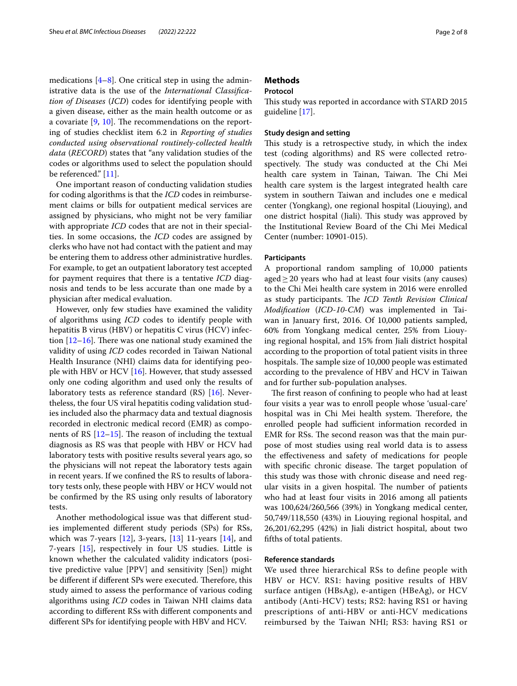medications  $[4-8]$  $[4-8]$ . One critical step in using the administrative data is the use of the *International Classifcation of Diseases* (*ICD*) codes for identifying people with a given disease, either as the main health outcome or as a covariate  $[9, 10]$  $[9, 10]$  $[9, 10]$  $[9, 10]$ . The recommendations on the reporting of studies checklist item 6.2 in *Reporting of studies conducted using observational routinely-collected health data* (*RECORD*) states that "any validation studies of the codes or algorithms used to select the population should be referenced." [[11\]](#page-7-6).

One important reason of conducting validation studies for coding algorithms is that the *ICD* codes in reimbursement claims or bills for outpatient medical services are assigned by physicians, who might not be very familiar with appropriate *ICD* codes that are not in their specialties. In some occasions, the *ICD* codes are assigned by clerks who have not had contact with the patient and may be entering them to address other administrative hurdles. For example, to get an outpatient laboratory test accepted for payment requires that there is a tentative *ICD* diagnosis and tends to be less accurate than one made by a physician after medical evaluation.

However, only few studies have examined the validity of algorithms using *ICD* codes to identify people with hepatitis B virus (HBV) or hepatitis C virus (HCV) infection  $[12-16]$  $[12-16]$ . There was one national study examined the validity of using *ICD* codes recorded in Taiwan National Health Insurance (NHI) claims data for identifying people with HBV or HCV [[16\]](#page-7-8). However, that study assessed only one coding algorithm and used only the results of laboratory tests as reference standard (RS) [\[16](#page-7-8)]. Nevertheless, the four US viral hepatitis coding validation studies included also the pharmacy data and textual diagnosis recorded in electronic medical record (EMR) as components of RS  $[12-15]$  $[12-15]$ . The reason of including the textual diagnosis as RS was that people with HBV or HCV had laboratory tests with positive results several years ago, so the physicians will not repeat the laboratory tests again in recent years. If we confned the RS to results of laboratory tests only, these people with HBV or HCV would not be confrmed by the RS using only results of laboratory tests.

Another methodological issue was that diferent studies implemented diferent study periods (SPs) for RSs, which was 7-years  $[12]$  $[12]$  $[12]$ , 3-years,  $[13]$  $[13]$  11-years  $[14]$  $[14]$ , and 7-years [[15](#page-7-9)], respectively in four US studies. Little is known whether the calculated validity indicators (positive predictive value [PPV] and sensitivity [Sen]) might be different if different SPs were executed. Therefore, this study aimed to assess the performance of various coding algorithms using *ICD* codes in Taiwan NHI claims data according to diferent RSs with diferent components and diferent SPs for identifying people with HBV and HCV.

# **Methods**

# **Protocol**

This study was reported in accordance with STARD 2015 guideline [[17\]](#page-7-12).

# **Study design and setting**

This study is a retrospective study, in which the index test (coding algorithms) and RS were collected retrospectively. The study was conducted at the Chi Mei health care system in Tainan, Taiwan. The Chi Mei health care system is the largest integrated health care system in southern Taiwan and includes one e medical center (Yongkang), one regional hospital (Liouying), and one district hospital (Jiali). This study was approved by the Institutional Review Board of the Chi Mei Medical Center (number: 10901-015).

### **Participants**

A proportional random sampling of 10,000 patients aged $\geq$  20 years who had at least four visits (any causes) to the Chi Mei health care system in 2016 were enrolled as study participants. The *ICD Tenth Revision Clinical Modifcation* (*ICD-10-CM*) was implemented in Taiwan in January frst, 2016. Of 10,000 patients sampled, 60% from Yongkang medical center, 25% from Liouying regional hospital, and 15% from Jiali district hospital according to the proportion of total patient visits in three hospitals. The sample size of 10,000 people was estimated according to the prevalence of HBV and HCV in Taiwan and for further sub-population analyses.

The first reason of confining to people who had at least four visits a year was to enroll people whose 'usual-care' hospital was in Chi Mei health system. Therefore, the enrolled people had sufficient information recorded in EMR for RSs. The second reason was that the main purpose of most studies using real world data is to assess the efectiveness and safety of medications for people with specific chronic disease. The target population of this study was those with chronic disease and need regular visits in a given hospital. The number of patients who had at least four visits in 2016 among all patients was 100,624/260,566 (39%) in Yongkang medical center, 50,749/118,550 (43%) in Liouying regional hospital, and 26,201/62,295 (42%) in Jiali district hospital, about two ffths of total patients.

# **Reference standards**

We used three hierarchical RSs to define people with HBV or HCV. RS1: having positive results of HBV surface antigen (HBsAg), e-antigen (HBeAg), or HCV antibody (Anti-HCV) tests; RS2: having RS1 or having prescriptions of anti-HBV or anti-HCV medications reimbursed by the Taiwan NHI; RS3: having RS1 or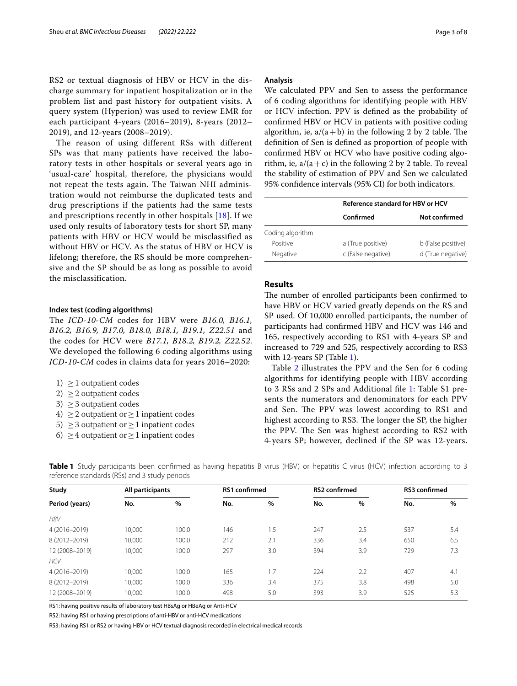RS2 or textual diagnosis of HBV or HCV in the discharge summary for inpatient hospitalization or in the problem list and past history for outpatient visits. A query system (Hyperion) was used to review EMR for each participant 4-years (2016–2019), 8-years (2012– 2019), and 12-years (2008–2019).

The reason of using different RSs with different SPs was that many patients have received the laboratory tests in other hospitals or several years ago in 'usual-care' hospital, therefore, the physicians would not repeat the tests again. The Taiwan NHI administration would not reimburse the duplicated tests and drug prescriptions if the patients had the same tests and prescriptions recently in other hospitals [\[18](#page-7-13)]. If we used only results of laboratory tests for short SP, many patients with HBV or HCV would be misclassified as without HBV or HCV. As the status of HBV or HCV is lifelong; therefore, the RS should be more comprehensive and the SP should be as long as possible to avoid the misclassification.

### **Index test (coding algorithms)**

The *ICD-10-CM* codes for HBV were *B16.0, B16.1, B16.2, B16.9, B17.0, B18.0, B18.1, B19.1, Z22.51* and the codes for HCV were *B17.1, B18.2, B19.2, Z22.52*. We developed the following 6 coding algorithms using *ICD-10-CM* codes in claims data for years 2016–2020:

- 1)  $\geq$  1 outpatient codes
- 2)  $\geq$  2 outpatient codes
- 3)  $\geq$  3 outpatient codes
- 4)  $\geq$  2 outpatient or  $\geq$  1 inpatient codes
- 5)  $\geq$  3 outpatient or  $\geq$  1 inpatient codes
- 6)  $\geq$  4 outpatient or  $\geq$  1 inpatient codes

#### **Analysis**

We calculated PPV and Sen to assess the performance of 6 coding algorithms for identifying people with HBV or HCV infection. PPV is defned as the probability of confrmed HBV or HCV in patients with positive coding algorithm, ie,  $a/(a+b)$  in the following 2 by 2 table. The defnition of Sen is defned as proportion of people with confrmed HBV or HCV who have positive coding algorithm, ie,  $a/(a+c)$  in the following 2 by 2 table. To reveal the stability of estimation of PPV and Sen we calculated 95% confdence intervals (95% CI) for both indicators.

|                  | Reference standard for HBV or HCV |                    |  |  |
|------------------|-----------------------------------|--------------------|--|--|
|                  | Confirmed                         | Not confirmed      |  |  |
| Coding algorithm |                                   |                    |  |  |
| Positive         | a (True positive)                 | b (False positive) |  |  |
| Negative         | c (False negative)                | d (True negative)  |  |  |

# **Results**

The number of enrolled participants been confirmed to have HBV or HCV varied greatly depends on the RS and SP used. Of 10,000 enrolled participants, the number of participants had confrmed HBV and HCV was 146 and 165, respectively according to RS1 with 4-years SP and increased to 729 and 525, respectively according to RS3 with 12-years SP (Table [1\)](#page-2-0).

Table [2](#page-3-0) illustrates the PPV and the Sen for 6 coding algorithms for identifying people with HBV according to 3 RSs and 2 SPs and Additional fle [1](#page-7-14): Table S1 presents the numerators and denominators for each PPV and Sen. The PPV was lowest according to RS1 and highest according to RS3. The longer the SP, the higher the PPV. The Sen was highest according to RS2 with 4-years SP; however, declined if the SP was 12-years.

| Study<br>Period (years) | All participants |       | RS1 confirmed |     | <b>RS2 confirmed</b> |      | <b>RS3</b> confirmed |     |
|-------------------------|------------------|-------|---------------|-----|----------------------|------|----------------------|-----|
|                         | No.              | %     | No.           | %   | No.                  | $\%$ | No.                  | %   |
| <b>HBV</b>              |                  |       |               |     |                      |      |                      |     |
| 4 (2016-2019)           | 10,000           | 100.0 | 146           | 1.5 | 247                  | 2.5  | 537                  | 5.4 |
| 8 (2012-2019)           | 10,000           | 100.0 | 212           | 2.1 | 336                  | 3.4  | 650                  | 6.5 |
| 12 (2008-2019)          | 10,000           | 100.0 | 297           | 3.0 | 394                  | 3.9  | 729                  | 7.3 |
| <b>HCV</b>              |                  |       |               |     |                      |      |                      |     |
| 4 (2016-2019)           | 10.000           | 100.0 | 165           | 1.7 | 224                  | 2.2  | 407                  | 4.1 |
| 8 (2012-2019)           | 10,000           | 100.0 | 336           | 3.4 | 375                  | 3.8  | 498                  | 5.0 |
| 12 (2008-2019)          | 10,000           | 100.0 | 498           | 5.0 | 393                  | 3.9  | 525                  | 5.3 |

<span id="page-2-0"></span>**Table 1** Study participants been confirmed as having hepatitis B virus (HBV) or hepatitis C virus (HCV) infection according to 3 reference standards (RSs) and 3 study periods

RS1: having positive results of laboratory test HBsAg or HBeAg or Anti-HCV

RS2: having RS1 or having prescriptions of anti-HBV or anti-HCV medications

RS3: having RS1 or RS2 or having HBV or HCV textual diagnosis recorded in electrical medical records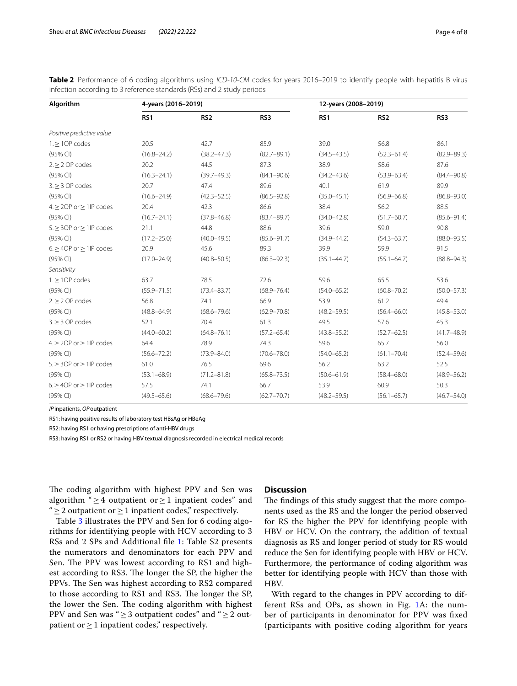| Algorithm                           | 4-years (2016-2019) |                 |                 | 12-years (2008-2019) |                 |                 |  |
|-------------------------------------|---------------------|-----------------|-----------------|----------------------|-----------------|-----------------|--|
|                                     | RS1                 | RS <sub>2</sub> | RS3             | RS1                  | RS <sub>2</sub> | RS3             |  |
| Positive predictive value           |                     |                 |                 |                      |                 |                 |  |
| $1.$ > 10P codes                    | 20.5                | 42.7            | 85.9            | 39.0                 | 56.8            | 86.1            |  |
| (95% CI)                            | $(16.8 - 24.2)$     | $(38.2 - 47.3)$ | $(82.7 - 89.1)$ | $(34.5 - 43.5)$      | $(52.3 - 61.4)$ | $(82.9 - 89.3)$ |  |
| $2 \geq 2$ OP codes                 | 20.2                | 44.5            | 87.3            | 38.9                 | 58.6            | 87.6            |  |
| (95% CI)                            | $(16.3 - 24.1)$     | $(39.7 - 49.3)$ | $(84.1 - 90.6)$ | $(34.2 - 43.6)$      | $(53.9 - 63.4)$ | $(84.4 - 90.8)$ |  |
| $3. \geq 3$ OP codes                | 20.7                | 47.4            | 89.6            | 40.1                 | 61.9            | 89.9            |  |
| (95% CI)                            | $(16.6 - 24.9)$     | $(42.3 - 52.5)$ | $(86.5 - 92.8)$ | $(35.0 - 45.1)$      | $(56.9 - 66.8)$ | $(86.8 - 93.0)$ |  |
| $4. \geq 2OP$ or $\geq 1IP$ codes   | 20.4                | 42.3            | 86.6            | 38.4                 | 56.2            | 88.5            |  |
| (95% CI)                            | $(16.7 - 24.1)$     | $(37.8 - 46.8)$ | $(83.4 - 89.7)$ | $(34.0 - 42.8)$      | $(51.7 - 60.7)$ | $(85.6 - 91.4)$ |  |
| $5. \geq 3$ OP or $\geq 1$ IP codes | 21.1                | 44.8            | 88.6            | 39.6                 | 59.0            | 90.8            |  |
| $(95%$ CI)                          | $(17.2 - 25.0)$     | $(40.0 - 49.5)$ | $(85.6 - 91.7)$ | $(34.9 - 44.2)$      | $(54.3 - 63.7)$ | $(88.0 - 93.5)$ |  |
| $6. \geq 4OP$ or $\geq 1IP$ codes   | 20.9                | 45.6            | 89.3            | 39.9                 | 59.9            | 91.5            |  |
| (95% CI)                            | $(17.0 - 24.9)$     | $(40.8 - 50.5)$ | $(86.3 - 92.3)$ | $(35.1 - 44.7)$      | $(55.1 - 64.7)$ | $(88.8 - 94.3)$ |  |
| Sensitivity                         |                     |                 |                 |                      |                 |                 |  |
| $1.$ > 10P codes                    | 63.7                | 78.5            | 72.6            | 59.6                 | 65.5            | 53.6            |  |
| (95% CI)                            | $(55.9 - 71.5)$     | $(73.4 - 83.7)$ | $(68.9 - 76.4)$ | $(54.0 - 65.2)$      | $(60.8 - 70.2)$ | $(50.0 - 57.3)$ |  |
| $2 \geq 2$ OP codes                 | 56.8                | 74.1            | 66.9            | 53.9                 | 61.2            | 49.4            |  |
| (95% CI)                            | $(48.8 - 64.9)$     | $(68.6 - 79.6)$ | $(62.9 - 70.8)$ | $(48.2 - 59.5)$      | $(56.4 - 66.0)$ | $(45.8 - 53.0)$ |  |
| $3. > 3$ OP codes                   | 52.1                | 70.4            | 61.3            | 49.5                 | 57.6            | 45.3            |  |
| (95% CI)                            | $(44.0 - 60.2)$     | $(64.8 - 76.1)$ | $(57.2 - 65.4)$ | $(43.8 - 55.2)$      | $(52.7 - 62.5)$ | $(41.7 - 48.9)$ |  |
| $4. \geq 2OP$ or $\geq 1IP$ codes   | 64.4                | 78.9            | 74.3            | 59.6                 | 65.7            | 56.0            |  |
| (95% CI)                            | $(56.6 - 72.2)$     | $(73.9 - 84.0)$ | $(70.6 - 78.0)$ | $(54.0 - 65.2)$      | $(61.1 - 70.4)$ | $(52.4 - 59.6)$ |  |
| $5. \geq 3$ OP or $\geq 1$ IP codes | 61.0                | 76.5            | 69.6            | 56.2                 | 63.2            | 52.5            |  |
| (95% CI)                            | $(53.1 - 68.9)$     | $(71.2 - 81.8)$ | $(65.8 - 73.5)$ | $(50.6 - 61.9)$      | $(58.4 - 68.0)$ | $(48.9 - 56.2)$ |  |
| $6. \geq 4$ OP or $\geq 1$ IP codes | 57.5                | 74.1            | 66.7            | 53.9                 | 60.9            | 50.3            |  |
| (95% CI)                            | $(49.5 - 65.6)$     | $(68.6 - 79.6)$ | $(62.7 - 70.7)$ | $(48.2 - 59.5)$      | $(56.1 - 65.7)$ | $(46.7 - 54.0)$ |  |

<span id="page-3-0"></span>**Table 2** Performance of 6 coding algorithms using *ICD-10-CM* codes for years 2016–2019 to identify people with hepatitis B virus infection according to 3 reference standards (RSs) and 2 study periods

*IP*inpatients, *OP*outpatient

RS1: having positive results of laboratory test HBsAg or HBeAg

RS2: having RS1 or having prescriptions of anti-HBV drugs

RS3: having RS1 or RS2 or having HBV textual diagnosis recorded in electrical medical records

The coding algorithm with highest PPV and Sen was algorithm "  $\geq$  4 outpatient or  $\geq$  1 inpatient codes" and "  $\geq$  2 outpatient or  $\geq$  1 inpatient codes," respectively.

Table [3](#page-4-0) illustrates the PPV and Sen for 6 coding algorithms for identifying people with HCV according to 3 RSs and 2 SPs and Additional fle [1:](#page-7-14) Table S2 presents the numerators and denominators for each PPV and Sen. The PPV was lowest according to RS1 and highest according to RS3. The longer the SP, the higher the PPVs. The Sen was highest according to RS2 compared to those according to RS1 and RS3. The longer the SP, the lower the Sen. The coding algorithm with highest PPV and Sen was " $\geq$  3 outpatient codes" and " $\geq$  2 outpatient or  $\geq 1$  inpatient codes," respectively.

# **Discussion**

The findings of this study suggest that the more components used as the RS and the longer the period observed for RS the higher the PPV for identifying people with HBV or HCV. On the contrary, the addition of textual diagnosis as RS and longer period of study for RS would reduce the Sen for identifying people with HBV or HCV. Furthermore, the performance of coding algorithm was better for identifying people with HCV than those with HBV.

With regard to the changes in PPV according to different RSs and OPs, as shown in Fig. [1](#page-5-0)A: the number of participants in denominator for PPV was fxed (participants with positive coding algorithm for years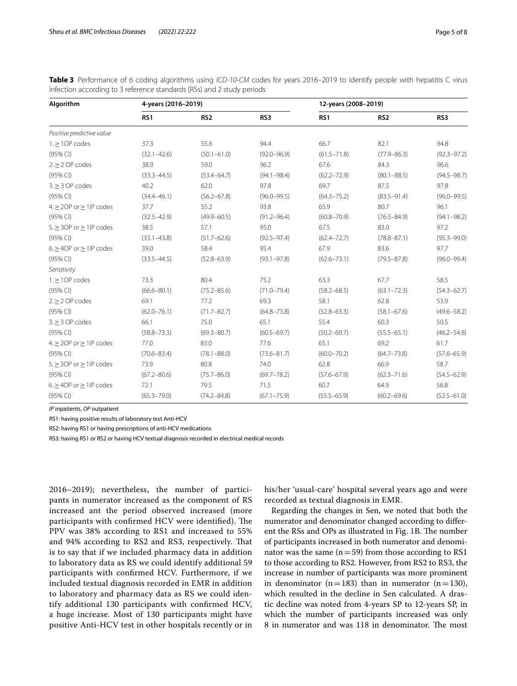| Algorithm                           | 4-years (2016-2019) |                 |                 | 12-years (2008-2019) |                 |                 |  |
|-------------------------------------|---------------------|-----------------|-----------------|----------------------|-----------------|-----------------|--|
|                                     | RS <sub>1</sub>     | RS <sub>2</sub> | RS3             | RS <sub>1</sub>      | RS <sub>2</sub> | RS3             |  |
| Positive predictive value           |                     |                 |                 |                      |                 |                 |  |
| $1. \geq 10P$ codes                 | 37.3                | 55.6            | 94.4            | 66.7                 | 82.1            | 94.8            |  |
| (95% CI)                            | $(32.1 - 42.6)$     | $(50.1 - 61.0)$ | $(92.0 - 96.9)$ | $(61.5 - 71.8)$      | $(77.9 - 86.3)$ | $(92.3 - 97.2)$ |  |
| $2. \geq 2$ OP codes                | 38.9                | 59.0            | 96.2            | 67.6                 | 84.3            | 96.6            |  |
| (95% CI)                            | $(33.3 - 44.5)$     | $(53.4 - 64.7)$ | $(94.1 - 98.4)$ | $(62.2 - 72.9)$      | $(80.1 - 88.5)$ | $(94.5 - 98.7)$ |  |
| $3. > 3$ OP codes                   | 40.2                | 62.0            | 97.8            | 69.7                 | 87.5            | 97.8            |  |
| (95% CI)                            | $(34.4 - 46.1)$     | $(56.2 - 67.8)$ | $(96.0 - 99.5)$ | $(64.3 - 75.2)$      | $(83.5 - 91.4)$ | $(96.0 - 99.5)$ |  |
| $4. \geq 2OP$ or $\geq 1IP$ codes   | 37.7                | 55.2            | 93.8            | 65.9                 | 80.7            | 96.1            |  |
| (95% CI)                            | $(32.5 - 42.9)$     | $(49.9 - 60.5)$ | $(91.2 - 96.4)$ | $(60.8 - 70.9)$      | $(76.5 - 84.9)$ | $(94.1 - 98.2)$ |  |
| $5. \geq 3$ OP or $\geq 1$ IP codes | 38.5                | 57.1            | 95.0            | 67.5                 | 83.0            | 97.2            |  |
| $(95%$ CI)                          | $(33.1 - 43.8)$     | $(51.7 - 62.6)$ | $(92.5 - 97.4)$ | $(62.4 - 72.7)$      | $(78.8 - 87.1)$ | $(95.3 - 99.0)$ |  |
| $6. \geq 4OP$ or $\geq 1IP$ codes   | 39.0                | 58.4            | 95.4            | 67.9                 | 83.6            | 97.7            |  |
| (95% CI)                            | $(33.5 - 44.5)$     | $(52.8 - 63.9)$ | $(93.1 - 97.8)$ | $(62.6 - 73.1)$      | $(79.5 - 87.8)$ | $(96.0 - 99.4)$ |  |
| Sensitivity                         |                     |                 |                 |                      |                 |                 |  |
| $1. \geq 10P$ codes                 | 73.3                | 80.4            | 75.2            | 63.3                 | 67.7            | 58.5            |  |
| (95% CI)                            | $(66.6 - 80.1)$     | $(75.2 - 85.6)$ | $(71.0 - 79.4)$ | $(58.2 - 68.5)$      | $(63.1 - 72.3)$ | $(54.3 - 62.7)$ |  |
| $2. > 2$ OP codes                   | 69.1                | 77.2            | 69.3            | 58.1                 | 62.8            | 53.9            |  |
| (95% CI)                            | $(62.0 - 76.1)$     | $(71.7 - 82.7)$ | $(64.8 - 73.8)$ | $(52.8 - 63.3)$      | $(58.1 - 67.6)$ | $(49.6 - 58.2)$ |  |
| $3. \geq 3$ OP codes                | 66.1                | 75.0            | 65.1            | 55.4                 | 60.3            | 50.5            |  |
| (95% CI)                            | $(58.8 - 73.3)$     | $(69.3 - 80.7)$ | $(60.5 - 69.7)$ | $(50.2 - 60.7)$      | $(55.5 - 65.1)$ | $(46.2 - 54.8)$ |  |
| $4. \geq 2OP$ or $\geq 1IP$ codes   | 77.0                | 83.0            | 77.6            | 65.1                 | 69.2            | 61.7            |  |
| $(95%$ CI)                          | $(70.6 - 83.4)$     | $(78.1 - 88.0)$ | $(73.6 - 81.7)$ | $(60.0 - 70.2)$      | $(64.7 - 73.8)$ | $(57.6 - 65.9)$ |  |
| $5. \geq 3$ OP or $\geq 1$ IP codes | 73.9                | 80.8            | 74.0            | 62.8                 | 66.9            | 58.7            |  |
| (95% CI)                            | $(67.2 - 80.6)$     | $(75.7 - 86.0)$ | $(69.7 - 78.2)$ | $(57.6 - 67.9)$      | $(62.3 - 71.6)$ | $(54.5 - 62.9)$ |  |
| $6. \geq 4OP$ or $\geq 1IP$ codes   | 72.1                | 79.5            | 71.5            | 60.7                 | 64.9            | 56.8            |  |
| (95% CI)                            | $(65.3 - 79.0)$     | $(74.2 - 84.8)$ | $(67.1 - 75.9)$ | $(55.5 - 65.9)$      | $(60.2 - 69.6)$ | $(52.5 - 61.0)$ |  |

<span id="page-4-0"></span>**Table 3** Performance of 6 coding algorithms using *ICD-10-CM* codes for years 2016–2019 to identify people with hepatitis C virus infection according to 3 reference standards (RSs) and 2 study periods

*IP* inpatients, *OP* outpatient

RS1: having positive results of laboratory test Anti-HCV

RS2: having RS1 or having prescriptions of anti-HCV medications

RS3: having RS1 or RS2 or having HCV textual diagnosis recorded in electrical medical records

2016–2019); nevertheless, the number of participants in numerator increased as the component of RS increased ant the period observed increased (more participants with confirmed HCV were identified). The PPV was 38% according to RS1 and increased to 55% and 94% according to RS2 and RS3, respectively. That is to say that if we included pharmacy data in addition to laboratory data as RS we could identify additional 59 participants with confrmed HCV. Furthermore, if we included textual diagnosis recorded in EMR in addition to laboratory and pharmacy data as RS we could identify additional 130 participants with confrmed HCV, a huge increase. Most of 130 participants might have positive Anti-HCV test in other hospitals recently or in

his/her 'usual-care' hospital several years ago and were recorded as textual diagnosis in EMR.

Regarding the changes in Sen, we noted that both the numerator and denominator changed according to difer-ent the RSs and OPs as illustrated in Fig. [1B](#page-5-0). The number of participants increased in both numerator and denominator was the same  $(n=59)$  from those according to RS1 to those according to RS2. However, from RS2 to RS3, the increase in number of participants was more prominent in denominator (n=183) than in numerator (n=130), which resulted in the decline in Sen calculated. A drastic decline was noted from 4-years SP to 12-years SP, in which the number of participants increased was only 8 in numerator and was 118 in denominator. The most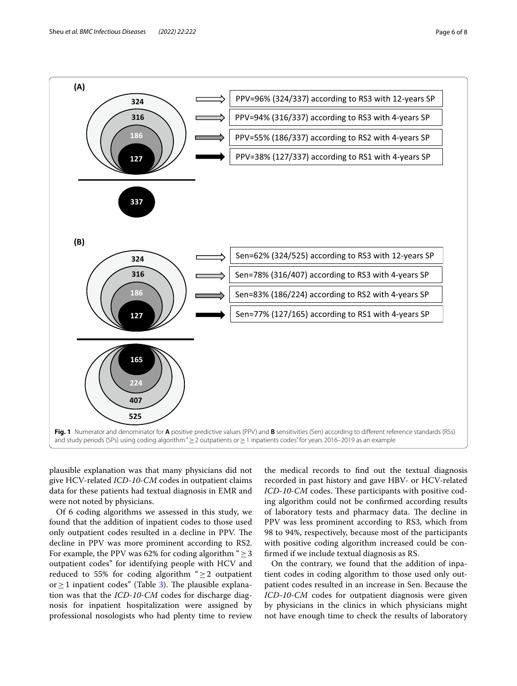

<span id="page-5-0"></span>plausible explanation was that many physicians did not give HCV-related *ICD-10-CM* codes in outpatient claims data for these patients had textual diagnosis in EMR and were not noted by physicians.

Of 6 coding algorithms we assessed in this study, we found that the addition of inpatient codes to those used only outpatient codes resulted in a decline in PPV. The decline in PPV was more prominent according to RS2. For example, the PPV was 62% for coding algorithm " $\geq$  3 outpatient codes" for identifying people with HCV and reduced to 55% for coding algorithm " $\geq$  2 outpatient or ≥ 1 inpatient codes" (Table [3](#page-4-0)). The plausible explanation was that the *ICD-10-CM* codes for discharge diagnosis for inpatient hospitalization were assigned by professional nosologists who had plenty time to review

the medical records to fnd out the textual diagnosis recorded in past history and gave HBV- or HCV-related *ICD-10-CM* codes. These participants with positive coding algorithm could not be confrmed according results of laboratory tests and pharmacy data. The decline in PPV was less prominent according to RS3, which from 98 to 94%, respectively, because most of the participants with positive coding algorithm increased could be confrmed if we include textual diagnosis as RS.

On the contrary, we found that the addition of inpatient codes in coding algorithm to those used only outpatient codes resulted in an increase in Sen. Because the *ICD-10-CM* codes for outpatient diagnosis were given by physicians in the clinics in which physicians might not have enough time to check the results of laboratory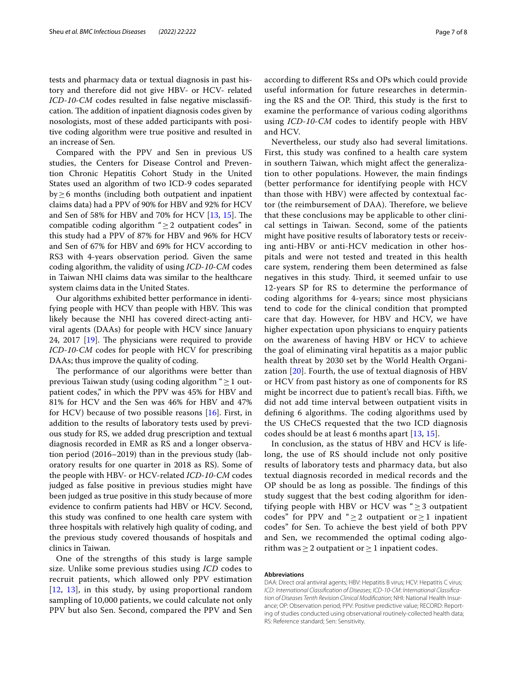tests and pharmacy data or textual diagnosis in past history and therefore did not give HBV- or HCV- related *ICD-10-CM* codes resulted in false negative misclassification. The addition of inpatient diagnosis codes given by nosologists, most of these added participants with positive coding algorithm were true positive and resulted in an increase of Sen.

Compared with the PPV and Sen in previous US studies, the Centers for Disease Control and Prevention Chronic Hepatitis Cohort Study in the United States used an algorithm of two ICD-9 codes separated  $by \geq 6$  months (including both outpatient and inpatient claims data) had a PPV of 90% for HBV and 92% for HCV and Sen of 58% for HBV and 70% for HCV [[13,](#page-7-10) [15\]](#page-7-9). The compatible coding algorithm " $\geq$  2 outpatient codes" in this study had a PPV of 87% for HBV and 96% for HCV and Sen of 67% for HBV and 69% for HCV according to RS3 with 4-years observation period. Given the same coding algorithm, the validity of using *ICD-10-CM* codes in Taiwan NHI claims data was similar to the healthcare system claims data in the United States.

Our algorithms exhibited better performance in identifying people with HCV than people with HBV. This was likely because the NHI has covered direct-acting antiviral agents (DAAs) for people with HCV since January 24, 2017  $[19]$  $[19]$  $[19]$ . The physicians were required to provide *ICD-10-CM* codes for people with HCV for prescribing DAAs; thus improve the quality of coding.

The performance of our algorithms were better than previous Taiwan study (using coding algorithm " $\geq$  1 outpatient codes," in which the PPV was 45% for HBV and 81% for HCV and the Sen was 46% for HBV and 47% for HCV) because of two possible reasons [[16\]](#page-7-8). First, in addition to the results of laboratory tests used by previous study for RS, we added drug prescription and textual diagnosis recorded in EMR as RS and a longer observation period (2016–2019) than in the previous study (laboratory results for one quarter in 2018 as RS). Some of the people with HBV- or HCV-related *ICD-10-CM* codes judged as false positive in previous studies might have been judged as true positive in this study because of more evidence to confrm patients had HBV or HCV. Second, this study was confned to one health care system with three hospitals with relatively high quality of coding, and the previous study covered thousands of hospitals and clinics in Taiwan.

One of the strengths of this study is large sample size. Unlike some previous studies using *ICD* codes to recruit patients, which allowed only PPV estimation [[12](#page-7-7), [13\]](#page-7-10), in this study, by using proportional random sampling of 10,000 patients, we could calculate not only PPV but also Sen. Second, compared the PPV and Sen according to diferent RSs and OPs which could provide useful information for future researches in determining the RS and the OP. Third, this study is the first to examine the performance of various coding algorithms using *ICD-10-CM* codes to identify people with HBV and HCV.

Nevertheless, our study also had several limitations. First, this study was confned to a health care system in southern Taiwan, which might afect the generalization to other populations. However, the main fndings (better performance for identifying people with HCV than those with HBV) were afected by contextual factor (the reimbursement of DAA). Therefore, we believe that these conclusions may be applicable to other clinical settings in Taiwan. Second, some of the patients might have positive results of laboratory tests or receiving anti-HBV or anti-HCV medication in other hospitals and were not tested and treated in this health care system, rendering them been determined as false negatives in this study. Third, it seemed unfair to use 12-years SP for RS to determine the performance of coding algorithms for 4-years; since most physicians tend to code for the clinical condition that prompted care that day. However, for HBV and HCV, we have higher expectation upon physicians to enquiry patients on the awareness of having HBV or HCV to achieve the goal of eliminating viral hepatitis as a major public health threat by 2030 set by the World Health Organization [[20](#page-7-16)]. Fourth, the use of textual diagnosis of HBV or HCV from past history as one of components for RS might be incorrect due to patient's recall bias. Fifth, we did not add time interval between outpatient visits in defining 6 algorithms. The coding algorithms used by the US CHeCS requested that the two ICD diagnosis codes should be at least 6 months apart [[13](#page-7-10), [15](#page-7-9)].

In conclusion, as the status of HBV and HCV is lifelong, the use of RS should include not only positive results of laboratory tests and pharmacy data, but also textual diagnosis recorded in medical records and the OP should be as long as possible. The findings of this study suggest that the best coding algorithm for identifying people with HBV or HCV was " $\geq$  3 outpatient codes" for PPV and " $\geq$ 2 outpatient or  $\geq$ 1 inpatient codes" for Sen. To achieve the best yield of both PPV and Sen, we recommended the optimal coding algorithm was  $\geq 2$  outpatient or  $\geq 1$  inpatient codes.

#### **Abbreviations**

DAA: Direct oral antiviral agents; HBV: Hepatitis B virus; HCV: Hepatitis C virus; *ICD*: *International Classifcation of Diseases*; *ICD-10-CM*: *International Classifcation of Diseases Tenth Revision Clinical Modifcation*; NHI: National Health Insur‑ ance; OP: Observation period; PPV: Positive predictive value; RECORD: Reporting of studies conducted using observational routinely-collected health data; RS: Reference standard; Sen: Sensitivity.